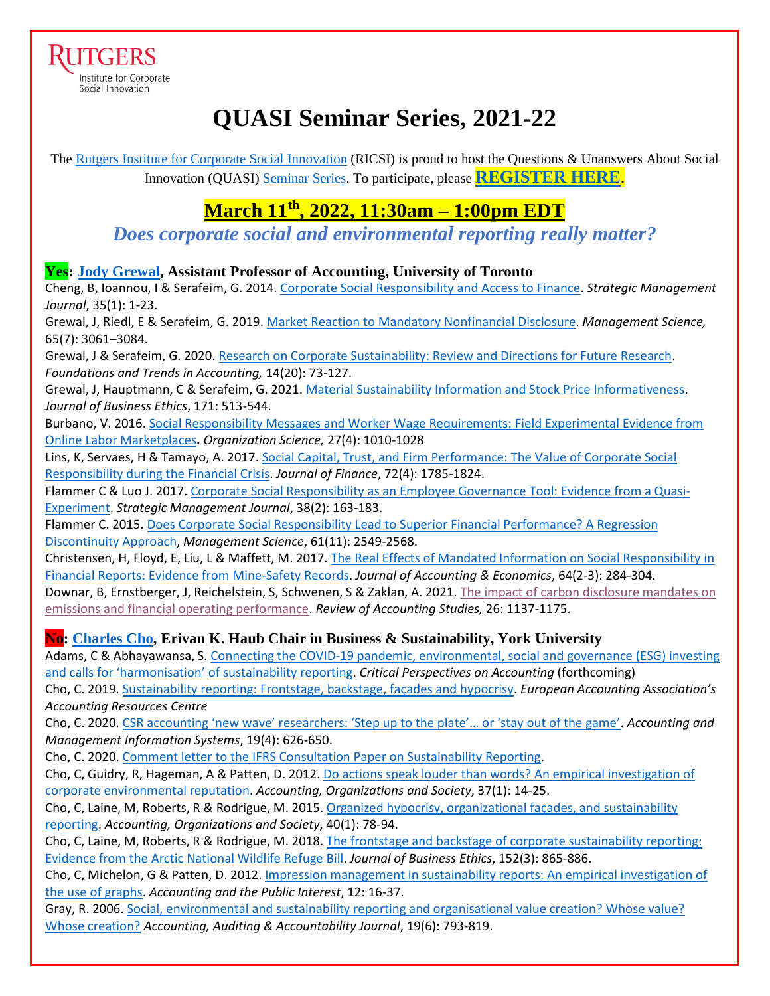RUTGERS Institute for Corporate Social Innovation

# **QUASI Seminar Series, 2021-22**

The [Rutgers Institute for Corporate Social Innovation](https://www.business.rutgers.edu/ricsi) (RICSI) is proud to host the Questions & Unanswers About Social Innovation (QUASI) [Seminar Series.](https://www.business.rutgers.edu/sites/default/files/documents/ricsi-quasi-seminar-series.pdf) To participate, please **[REGISTER HERE](https://docs.google.com/forms/d/e/1FAIpQLSeWWFDdX3LQLqT4KfkBM7lK5DpGL6V4XGIe1PJG-jmaB_DL4w/viewform)**.

## **March 11th , 2022, 11:30am – 1:00pm EDT**

*Does corporate social and environmental reporting really matter?*

#### **Yes: [Jody Grewal,](https://www.rotman.utoronto.ca/FacultyAndResearch/Faculty/FacultyBios/Grewal) Assistant Professor of Accounting, University of Toronto**

Cheng, B, Ioannou, I & Serafeim, G. 2014[. Corporate Social Responsibility and Access to Finance.](https://onlinelibrary.wiley.com/doi/pdf/10.1002/smj.2131?casa_token=ofjbxr4AZlUAAAAA:gqN0LrDeILXhjKkoLLnDqioWOS465OMzbdluKyi5TjM9j7VsTbyV--J43fJ8pAjnihZcB602tiQ1_JI) *Strategic Management Journal*, 35(1): 1-23.

Grewal, J, Riedl, E & Serafeim, G. 2019. [Market Reaction to Mandatory Nonfinancial Disclosure.](https://pubsonline.informs.org/doi/pdf/10.1287/mnsc.2018.3099?casa_token=KRG2LThDOs0AAAAA:uCs3YeHlfiPhIufaUs1xVtvLr2lgDgnO54_mD4Yo6LVDxoHsBH5-kHZl_EEudjWYePmxhcfSO5Tn) *Management Science,*  65(7): 3061–3084.

Grewal, J & Serafeim, G. 2020. [Research on Corporate Sustainability: Review and Directions for Future Research.](https://dash.harvard.edu/bitstream/handle/1/37369827/grewal,serafeim_research-on-corporate-sustainability.pdf?sequence=1) *Foundations and Trends in Accounting,* 14(20): 73-127.

Grewal, J, Hauptmann, C & Serafeim, G. 2021. [Material Sustainability Information and Stock Price Informativeness.](https://link.springer.com/article/10.1007/s10551-020-04451-2) *Journal of Business Ethics*, 171: 513-544.

Burbano, V. 2016[. Social Responsibility Messages and Worker Wage Requirements: Field Experimental Evidence from](https://pubsonline.informs.org/doi/full/10.1287/orsc.2016.1066?casa_token=7WTblu6q2QsAAAAA:ykZj2OHhF9qJOkQ-nlFi-eGdyWvt90-gKGbm14Yjnlb0x6q2S4xX8zZ1A_oorr2n1i5czqQNa0TB)  [Online Labor Marketplaces](https://pubsonline.informs.org/doi/full/10.1287/orsc.2016.1066?casa_token=7WTblu6q2QsAAAAA:ykZj2OHhF9qJOkQ-nlFi-eGdyWvt90-gKGbm14Yjnlb0x6q2S4xX8zZ1A_oorr2n1i5czqQNa0TB)**.** *Organization Science,* 27(4): 1010-1028

Lins, K, Servaes, H & Tamayo, A. 2017. [Social Capital, Trust, and Firm Performance: The Value of Corporate Social](https://onlinelibrary.wiley.com/doi/pdfdirect/10.1111/jofi.12505)  [Responsibility during the Financial Crisis.](https://onlinelibrary.wiley.com/doi/pdfdirect/10.1111/jofi.12505) *Journal of Finance*, 72(4): 1785-1824.

Flammer C & Luo J. 2017. [Corporate Social Responsibility as an Employee Governance Tool: Evidence from a Quasi-](https://onlinelibrary.wiley.com/doi/pdf/10.1002/smj.2492?casa_token=ZfMhCy_VBg0AAAAA:rMKvy10B7d-hBKGL1TyNkPoN3DPBiV20IJ2k1VX2VuoxCfs10jZyyvLBk_hJyZI61VY_HL1aGknFZ_M)[Experiment.](https://onlinelibrary.wiley.com/doi/pdf/10.1002/smj.2492?casa_token=ZfMhCy_VBg0AAAAA:rMKvy10B7d-hBKGL1TyNkPoN3DPBiV20IJ2k1VX2VuoxCfs10jZyyvLBk_hJyZI61VY_HL1aGknFZ_M) *Strategic Management Journal*, 38(2): 163-183.

Flammer C. 2015. [Does Corporate Social Responsibility Lead to Superior Financial Performance? A Regression](https://pubsonline.informs.org/doi/pdf/10.1287/mnsc.2014.2038?casa_token=ezh16JV1gPQAAAAA:teF6oLQpBDSZLDqMgwp-NjiUVRkeEoF6NaeU7OIHOoN3ciKr2V1p0ltXaAhwS6CxFHzopil3t4lo)  [Discontinuity Approach,](https://pubsonline.informs.org/doi/pdf/10.1287/mnsc.2014.2038?casa_token=ezh16JV1gPQAAAAA:teF6oLQpBDSZLDqMgwp-NjiUVRkeEoF6NaeU7OIHOoN3ciKr2V1p0ltXaAhwS6CxFHzopil3t4lo) *Management Science*, 61(11): 2549-2568.

Christensen, H, Floyd, E, Liu, L & Maffett, M. 2017. [The Real Effects of Mandated Information on Social Responsibility in](https://www.sciencedirect.com/science/article/pii/S0165410117300538?casa_token=o9Mw4noQ4xkAAAAA:etfUeEzB6rJOdUmDE6BDEm_81IS-n0eFqUAecQx5fKtR4uMCkZu7HHDiaOwtcaN1RXI9YJ2zp-0)  [Financial Reports: Evidence from](https://www.sciencedirect.com/science/article/pii/S0165410117300538?casa_token=o9Mw4noQ4xkAAAAA:etfUeEzB6rJOdUmDE6BDEm_81IS-n0eFqUAecQx5fKtR4uMCkZu7HHDiaOwtcaN1RXI9YJ2zp-0) Mine-Safety Records. *Journal of Accounting & Economics*, 64(2-3): 284-304.

Downar, B, Ernstberger, J, Reichelstein, S, Schwenen, S & Zaklan, A. 2021. [The impact of carbon disclosure mandates on](https://link.springer.com/article/10.1007/s11142-021-09611-x)  [emissions and financial operating performance.](https://link.springer.com/article/10.1007/s11142-021-09611-x) *Review of Accounting Studies,* 26: 1137-1175.

### **No: [Charles Cho,](https://schulich.yorku.ca/faculty/charles-cho/) Erivan K. Haub Chair in Business & Sustainability, York University**

Adams, C & Abhayawansa, S. [Connecting the COVID-19 pandemic, environmental, social and governance \(ESG\) investing](https://www.sciencedirect.com/science/article/pii/S1045235421000289)  [and calls for 'harmonisation' of sustainability reporting](https://www.sciencedirect.com/science/article/pii/S1045235421000289). *Critical Perspectives on Accounting* (forthcoming)

Cho, C. 2019[. Sustainability reporting: Frontstage, backstage, façades and hypocrisy.](https://arc.eaa-online.org/blog/sustainability-reporting-frontstage-backstage-fa%C3%A7ades-and-hypocrisy) *European Accounting Association's Accounting Resources Centre*

Cho, C. 2020. [CSR accounting 'new wave' researchers: 'Step up to the plate'… or 'stay out of the game'](http://online-cig.ase.ro/jcig/papers.aspx?idc=61956). *Accounting and Management Information Systems*, 19(4): 626-650.

Cho, C. 2020[. Comment letter to the IFRS Consultation Paper on Sustainability Reporting.](https://nam02.safelinks.protection.outlook.com/?url=http%3A%2F%2Feifrs.ifrs.org%2Feifrs%2Fcomment_letters%2F570%2F570_27762_CharlesChoIndividual_0_CharlesCho.pdf&data=04%7C01%7Cmbarnett%40business.rutgers.edu%7C61e4c5824deb42787e6408d9f312ef89%7Cb92d2b234d35447093ff69aca6632ffe%7C1%7C0%7C637808086270675369%7CUnknown%7CTWFpbGZsb3d8eyJWIjoiMC4wLjAwMDAiLCJQIjoiV2luMzIiLCJBTiI6Ik1haWwiLCJXVCI6Mn0%3D%7C3000&sdata=jqMqkQLF%2FtqwHrk1Gdp%2FD8eH49QbOlGMCPwoVy1UrmM%3D&reserved=0)

Cho, C, Guidry, R, Hageman, A & Patten, D. 2012. [Do actions speak louder than words? An empirical investigation of](https://www.sciencedirect.com/science/article/abs/pii/S0361368211001140)  [corporate environmental reputation.](https://www.sciencedirect.com/science/article/abs/pii/S0361368211001140) *Accounting, Organizations and Society*, 37(1): 14-25.

Cho, C, Laine, M, Roberts, R & Rodrigue, M. 2015[. Organized hypocrisy, organizational façades, and sustainability](https://www.sciencedirect.com/science/article/abs/pii/S0361368214001044)  [reporting.](https://www.sciencedirect.com/science/article/abs/pii/S0361368214001044) *Accounting, Organizations and Society*, 40(1): 78-94.

Cho, C, Laine, M, Roberts, R & Rodrigue, M. 2018. The frontstage and backstage of corporate sustainability reporting: [Evidence from the Arctic National Wildlife Refuge Bill.](https://link.springer.com/article/10.1007/s10551-016-3375-4) *Journal of Business Ethics*, 152(3): 865-886.

Cho, C, Michelon, G & Patten, D. 2012. [Impression management in sustainability reports: An empirical investigation of](https://meridian.allenpress.com/api/article-abstract/12/1/16/60001/Impression-Management-in-Sustainability-Reports-An)  the use [of graphs.](https://meridian.allenpress.com/api/article-abstract/12/1/16/60001/Impression-Management-in-Sustainability-Reports-An) *Accounting and the Public Interest*, 12: 16-37.

Gray, R. 2006. [Social, environmental and sustainability reporting and organisational value creation? Whose value?](https://www.emerald.com/insight/content/doi/10.1108/09513570610709872/full/html)  [Whose creation?](https://www.emerald.com/insight/content/doi/10.1108/09513570610709872/full/html) *Accounting, Auditing & Accountability Journal*, 19(6): 793-819.